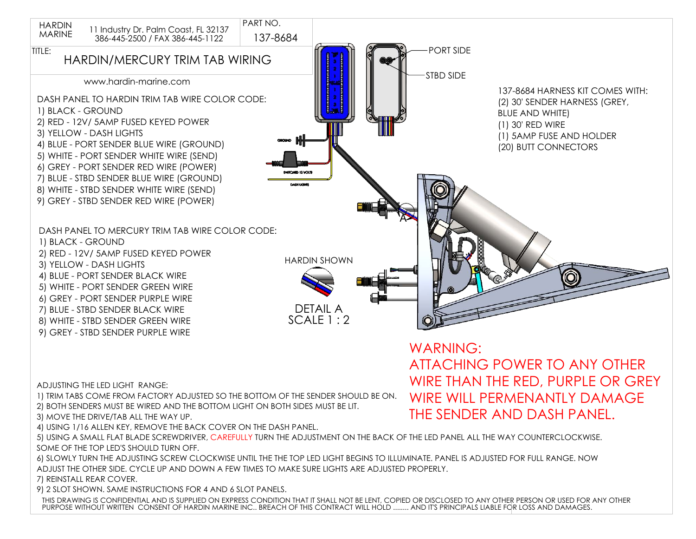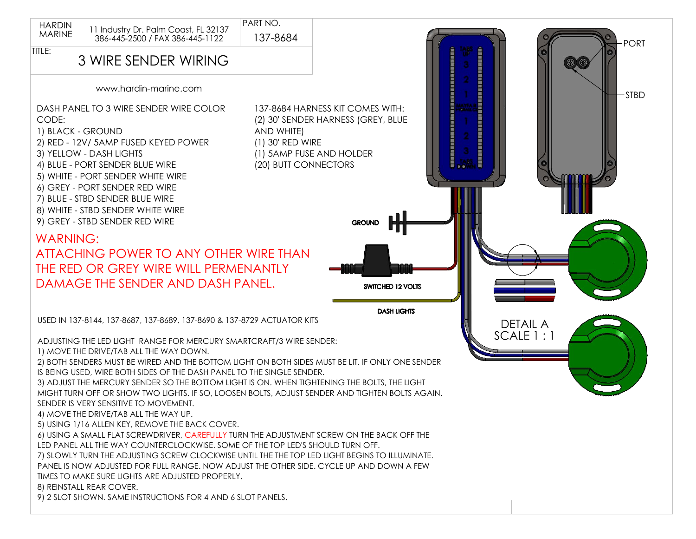